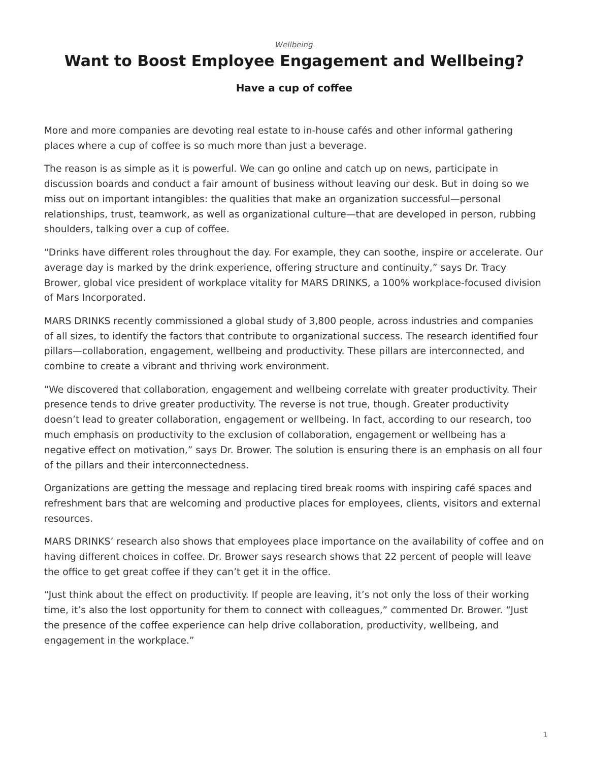*[Wellbeing](https://www.steelcase.com/research/topics/wellbeing/)*

## <span id="page-0-0"></span>**Want to Boost Employee Engagement and Wellbeing?**

## **Have a cup of coffee**

More and more companies are devoting real estate to in-house cafés and other informal gathering places where a cup of coffee is so much more than just a beverage.

The reason is as simple as it is powerful. We can go online and catch up on news, participate in discussion boards and conduct a fair amount of business without leaving our desk. But in doing so we miss out on important intangibles: the qualities that make an organization successful—personal relationships, trust, teamwork, as well as organizational culture—that are developed in person, rubbing shoulders, talking over a cup of coffee.

"Drinks have different roles throughout the day. For example, they can soothe, inspire or accelerate. Our average day is marked by the drink experience, offering structure and continuity," says Dr. Tracy Brower, global vice president of workplace vitality for MARS DRINKS, a 100% workplace-focused division of Mars Incorporated.

MARS DRINKS recently commissioned a global study of 3,800 people, across industries and companies of all sizes, to identify the factors that contribute to organizational success. The research identified four pillars—collaboration, engagement, wellbeing and productivity. These pillars are interconnected, and combine to create a vibrant and thriving work environment.

"We discovered that collaboration, engagement and wellbeing correlate with greater productivity. Their presence tends to drive greater productivity. The reverse is not true, though. Greater productivity doesn't lead to greater collaboration, engagement or wellbeing. In fact, according to our research, too much emphasis on productivity to the exclusion of collaboration, engagement or wellbeing has a negative effect on motivation," says Dr. Brower. The solution is ensuring there is an emphasis on all four of the pillars and their interconnectedness.

Organizations are getting the message and replacing tired break rooms with inspiring café spaces and refreshment bars that are welcoming and productive places for employees, clients, visitors and external resources.

MARS DRINKS' research also shows that employees place importance on the availability of coffee and on having different choices in coffee. Dr. Brower says research shows that 22 percent of people will leave the office to get great coffee if they can't get it in the office.

"Just think about the effect on productivity. If people are leaving, it's not only the loss of their working time, it's also the lost opportunity for them to connect with colleagues," commented Dr. Brower. "Just the presence of the coffee experience can help drive collaboration, productivity, wellbeing, and engagement in the workplace."